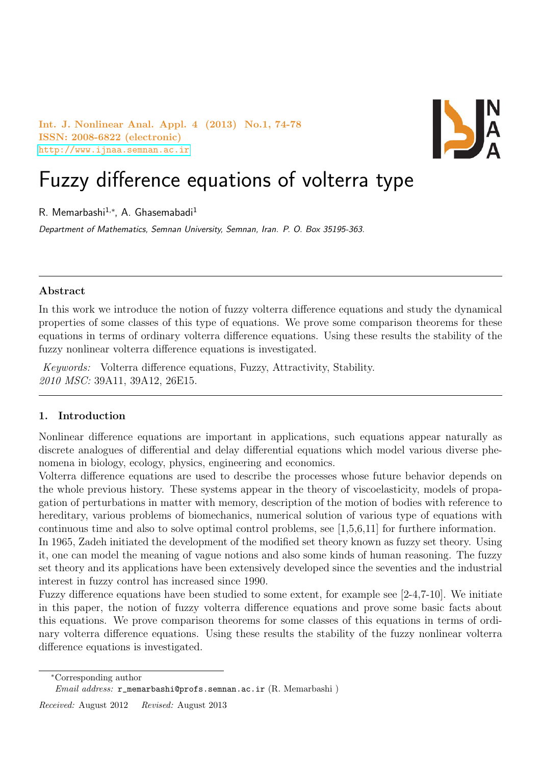Int. J. Nonlinear Anal. Appl. 4 (2013) No.1, 74-78 ISSN: 2008-6822 (electronic) <http://www.ijnaa.semnan.ac.ir>



# Fuzzy difference equations of volterra type

R. Memarbashi<sup>1,\*</sup>, A. Ghasemabadi<sup>1</sup>

Department of Mathematics, Semnan University, Semnan, Iran. P. O. Box 35195-363.

## Abstract

In this work we introduce the notion of fuzzy volterra difference equations and study the dynamical properties of some classes of this type of equations. We prove some comparison theorems for these equations in terms of ordinary volterra difference equations. Using these results the stability of the fuzzy nonlinear volterra difference equations is investigated.

Keywords: Volterra difference equations, Fuzzy, Attractivity, Stability. 2010 MSC: 39A11, 39A12, 26E15.

## 1. Introduction

Nonlinear difference equations are important in applications, such equations appear naturally as discrete analogues of differential and delay differential equations which model various diverse phenomena in biology, ecology, physics, engineering and economics.

Volterra difference equations are used to describe the processes whose future behavior depends on the whole previous history. These systems appear in the theory of viscoelasticity, models of propagation of perturbations in matter with memory, description of the motion of bodies with reference to hereditary, various problems of biomechanics, numerical solution of various type of equations with continuous time and also to solve optimal control problems, see [1,5,6,11] for furthere information.

In 1965, Zadeh initiated the development of the modified set theory known as fuzzy set theory. Using it, one can model the meaning of vague notions and also some kinds of human reasoning. The fuzzy set theory and its applications have been extensively developed since the seventies and the industrial interest in fuzzy control has increased since 1990.

Fuzzy difference equations have been studied to some extent, for example see [2-4,7-10]. We initiate in this paper, the notion of fuzzy volterra difference equations and prove some basic facts about this equations. We prove comparison theorems for some classes of this equations in terms of ordinary volterra difference equations. Using these results the stability of the fuzzy nonlinear volterra difference equations is investigated.

<sup>∗</sup>Corresponding author

Received: August 2012 Revised: August 2013

 $Email \ address: \ \texttt{r\_memarbashi@profs.semnan.ac.ir}$  (R. Memarbashi)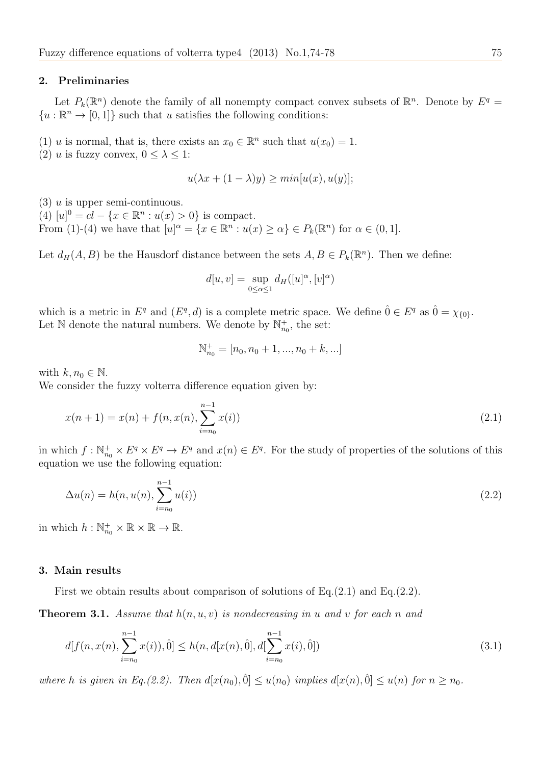#### 2. Preliminaries

Let  $P_k(\mathbb{R}^n)$  denote the family of all nonempty compact convex subsets of  $\mathbb{R}^n$ . Denote by  $E^q =$  ${u:\mathbb{R}^n \to [0,1]}$  such that u satisfies the following conditions:

(1) u is normal, that is, there exists an  $x_0 \in \mathbb{R}^n$  such that  $u(x_0) = 1$ .

(2) u is fuzzy convex,  $0 \leq \lambda \leq 1$ :

$$
u(\lambda x + (1 - \lambda)y) \ge \min[u(x), u(y)];
$$

 $(3)$  u is upper semi-continuous.

(4)  $[u]^0 = cl - \{x \in \mathbb{R}^n : u(x) > 0\}$  is compact. From (1)-(4) we have that  $[u]^{\alpha} = \{x \in \mathbb{R}^n : u(x) \ge \alpha\} \in P_k(\mathbb{R}^n)$  for  $\alpha \in (0, 1]$ .

Let  $d_H(A, B)$  be the Hausdorf distance between the sets  $A, B \in P_k(\mathbb{R}^n)$ . Then we define:

$$
d[u, v] = \sup_{0 \le \alpha \le 1} d_H([u]^\alpha, [v]^\alpha)
$$

which is a metric in  $E^q$  and  $(E^q, d)$  is a complete metric space. We define  $\hat{0} \in E^q$  as  $\hat{0} = \chi_{\{0\}}$ . Let  $\mathbb N$  denote the natural numbers. We denote by  $\mathbb N_{n_0}^+$ , the set:

$$
\mathbb{N}_{n_0}^+ = [n_0, n_0 + 1, ..., n_0 + k, ...]
$$

with  $k, n_0 \in \mathbb{N}$ .

We consider the fuzzy volterra difference equation given by:

$$
x(n+1) = x(n) + f(n, x(n), \sum_{i=n_0}^{n-1} x(i))
$$
\n(2.1)

in which  $f: \mathbb{N}_{n_0}^+ \times E^q \times E^q \to E^q$  and  $x(n) \in E^q$ . For the study of properties of the solutions of this equation we use the following equation:

$$
\Delta u(n) = h(n, u(n), \sum_{i=n_0}^{n-1} u(i))
$$
\n(2.2)

in which  $h: \mathbb{N}_{n_0}^+ \times \mathbb{R} \times \mathbb{R} \to \mathbb{R}$ .

### 3. Main results

First we obtain results about comparison of solutions of Eq.(2.1) and Eq.(2.2).

**Theorem 3.1.** Assume that  $h(n, u, v)$  is nondecreasing in u and v for each n and

$$
d[f(n, x(n), \sum_{i=n_0}^{n-1} x(i)), 0] \le h(n, d[x(n), 0], d[\sum_{i=n_0}^{n-1} x(i), 0])
$$
\n(3.1)

where h is given in Eq.(2.2). Then  $d[x(n_0), 0] \le u(n_0)$  implies  $d[x(n), 0] \le u(n)$  for  $n \ge n_0$ .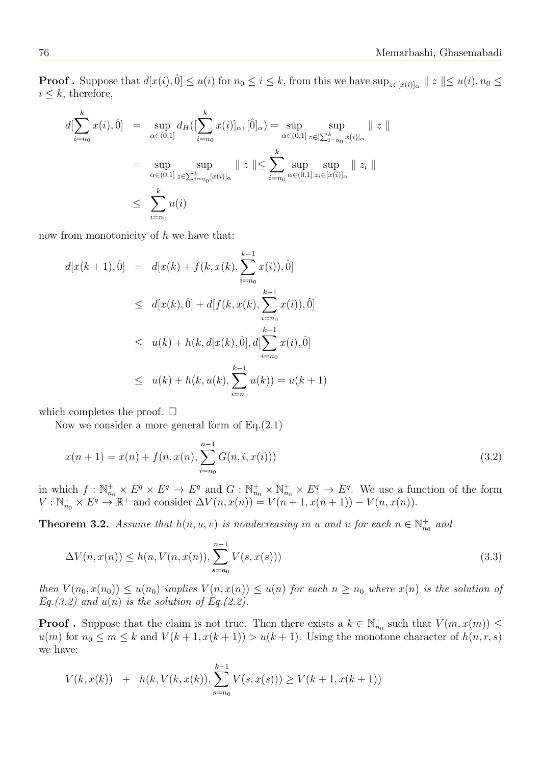**Proof**. Suppose that  $d[x(i), 0] \le u(i)$  for  $n_0 \le i \le k$ , from this we have  $\sup_{z \in [x(i)]_\alpha} || z || \le u(i), n_0 \le k$  $i \leq k$ , therefore,

$$
d[\sum_{i=n_0}^k x(i), 0] = \sup_{\alpha \in (0,1]} d_H([\sum_{i=n_0}^k x(i)]_\alpha, [0]_\alpha) = \sup_{\alpha \in (0,1]} \sup_{z \in [\sum_{i=n_0}^k x(i)]_\alpha} || z ||
$$
  

$$
= \sup_{\alpha \in (0,1]} \sup_{z \in \sum_{i=n_0}^k [x(i)]_\alpha} || z || \le \sum_{i=n_0}^k \sup_{\alpha \in (0,1]} \sup_{z_i \in [x(i)]_\alpha} || z_i ||
$$
  

$$
\le \sum_{i=n_0}^k u(i)
$$

now from monotonicity of  $h$  we have that:

$$
d[x(k+1),\hat{0}] = d[x(k) + f(k, x(k), \sum_{i=n_0}^{k-1} x(i)), \hat{0}]
$$
  
\n
$$
\leq d[x(k),\hat{0}] + d[f(k, x(k), \sum_{i=n_0}^{k-1} x(i)), \hat{0}]
$$
  
\n
$$
\leq u(k) + h(k, d[x(k), \hat{0}], d[\sum_{i=n_0}^{k-1} x(i), \hat{0}]
$$
  
\n
$$
\leq u(k) + h(k, u(k), \sum_{i=n_0}^{k-1} u(k)) = u(k+1)
$$

which completes the proof.  $\square$ 

Now we consider a more general form of Eq.(2.1)

$$
x(n+1) = x(n) + f(n, x(n), \sum_{i=n_0}^{n-1} G(n, i, x(i)))
$$
\n(3.2)

in which  $f: \mathbb{N}_{n_0}^+ \times E^q \times E^q \to E^q$  and  $G: \mathbb{N}_{n_0}^+ \times \mathbb{N}_{n_0}^+ \times E^q \to E^q$ . We use a function of the form  $V: \mathbb{N}_{n_0}^+ \times E^q \to \mathbb{R}^+$  and consider  $\Delta V(n, x(n)) = V(n+1, x(n+1)) - V(n, x(n)).$ 

**Theorem 3.2.** Assume that  $h(n, u, v)$  is nondecreasing in u and v for each  $n \in \mathbb{N}_{n_0}^+$  and

$$
\Delta V(n, x(n)) \le h(n, V(n, x(n)), \sum_{s=n_0}^{n-1} V(s, x(s)))
$$
\n(3.3)

then  $V(n_0, x(n_0)) \leq u(n_0)$  implies  $V(n, x(n)) \leq u(n)$  for each  $n \geq n_0$  where  $x(n)$  is the solution of  $Eq. (3.2)$  and  $u(n)$  is the solution of Eq.(2.2).

**Proof**. Suppose that the claim is not true. Then there exists a  $k \in \mathbb{N}_{n_0}^+$  such that  $V(m, x(m)) \leq$  $u(m)$  for  $n_0 \le m \le k$  and  $V(k+1, x(k+1)) > u(k+1)$ . Using the monotone character of  $h(n, r, s)$ we have:

$$
V(k, x(k)) + h(k, V(k, x(k)), \sum_{s=n_0}^{k-1} V(s, x(s))) \ge V(k+1, x(k+1))
$$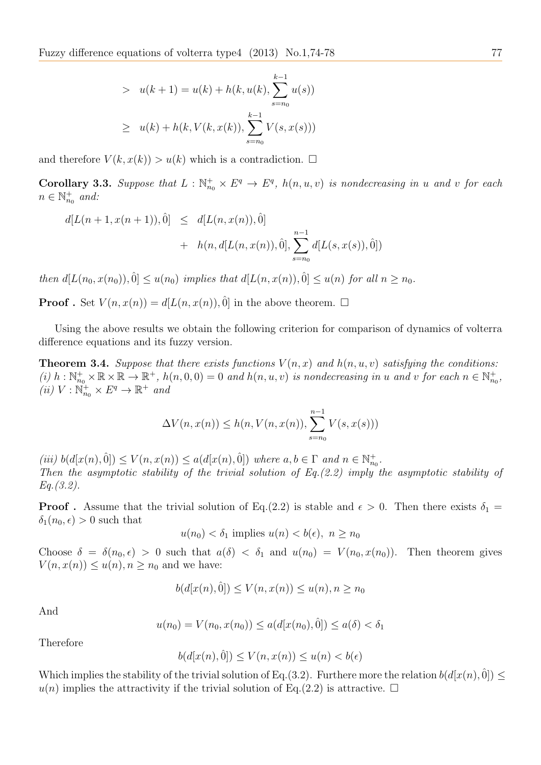> 
$$
u(k + 1) = u(k) + h(k, u(k), \sum_{s=n_0}^{k-1} u(s))
$$
  
\n $\geq u(k) + h(k, V(k, x(k)), \sum_{s=n_0}^{k-1} V(s, x(s)))$ 

and therefore  $V(k, x(k)) > u(k)$  which is a contradiction.  $\Box$ 

**Corollary 3.3.** Suppose that  $L : \mathbb{N}_{n_0}^+ \times E^q \to E^q$ ,  $h(n, u, v)$  is nondecreasing in u and v for each  $n \in \mathbb{N}_{n_0}^+$  and:

$$
d[L(n+1, x(n+1)), \hat{0}] \leq d[L(n, x(n)), \hat{0}] + h(n, d[L(n, x(n)), \hat{0}], \sum_{s=n_0}^{n-1} d[L(s, x(s)), \hat{0}])
$$

then  $d[L(n_0, x(n_0)), 0] \leq u(n_0)$  implies that  $d[L(n, x(n)), 0] \leq u(n)$  for all  $n \geq n_0$ .

**Proof**. Set  $V(n, x(n)) = d[L(n, x(n)), 0]$  in the above theorem.  $\Box$ 

Using the above results we obtain the following criterion for comparison of dynamics of volterra difference equations and its fuzzy version.

**Theorem 3.4.** Suppose that there exists functions  $V(n, x)$  and  $h(n, u, v)$  satisfying the conditions: (i)  $h: \mathbb{N}_{n_0}^+ \times \mathbb{R} \times \mathbb{R} \to \mathbb{R}^+$ ,  $h(n, 0, 0) = 0$  and  $h(n, u, v)$  is nondecreasing in u and v for each  $n \in \mathbb{N}_{n_0}^+$ , (*ii*)  $V : \mathbb{N}_{n_0}^+ \times E^q \to \mathbb{R}^+$  and

$$
\Delta V(n, x(n)) \le h(n, V(n, x(n)), \sum_{s=n_0}^{n-1} V(s, x(s)))
$$

 $(iii) b(d[x(n), 0]) \le V(n, x(n)) \le a(d[x(n), 0])$  where  $a, b \in \Gamma$  and  $n \in \mathbb{N}_{n_0}^+$ . Then the asymptotic stability of the trivial solution of  $Eq. (2.2)$  imply the asymptotic stability of Eq.(3.2).

**Proof**. Assume that the trivial solution of Eq.(2.2) is stable and  $\epsilon > 0$ . Then there exists  $\delta_1 =$  $\delta_1(n_0, \epsilon) > 0$  such that

$$
u(n_0) < \delta_1
$$
 implies  $u(n) < b(\epsilon)$ ,  $n \ge n_0$ 

Choose  $\delta = \delta(n_0, \epsilon) > 0$  such that  $a(\delta) < \delta_1$  and  $u(n_0) = V(n_0, x(n_0))$ . Then theorem gives  $V(n, x(n)) \le u(n), n \ge n_0$  and we have:

$$
b(d[x(n),\hat{0}]) \le V(n,x(n)) \le u(n), n \ge n_0
$$

And

$$
u(n_0) = V(n_0, x(n_0)) \le a(d[x(n_0), 0]) \le a(\delta) < \delta_1
$$

Therefore

$$
b(d[x(n),\hat{0}]) \le V(n,x(n)) \le u(n) < b(\epsilon)
$$

Which implies the stability of the trivial solution of Eq.(3.2). Furthere more the relation  $b(d[x(n), 0])$  $u(n)$  implies the attractivity if the trivial solution of Eq.(2.2) is attractive.  $\Box$